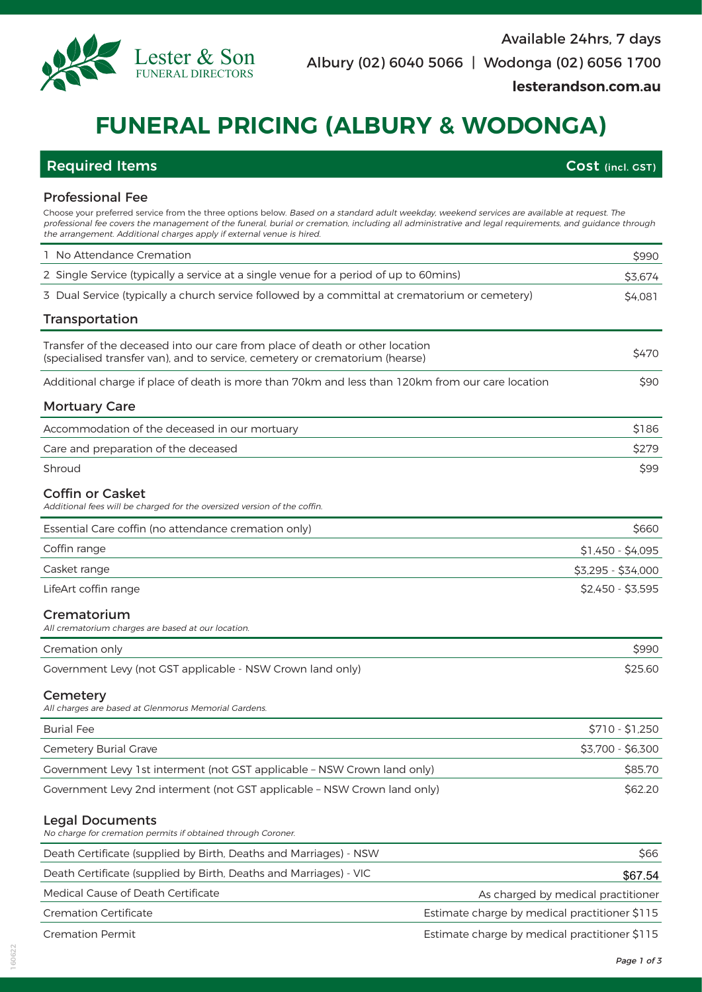

# **FUNERAL PRICING (ALBURY & WODONGA)**

Choose your preferred service from the three options below. Based on a standard adult weekday, weekend services are available at request. The professional fee covers the management of the funeral, burial or cremation, including all administrative and legal requirements, and guidance through

## Required Items **Cost (incl. GST)**

## Professional Fee

| the arrangement. Additional charges apply if external venue is hired.                                                                                        |                                               |                                    |
|--------------------------------------------------------------------------------------------------------------------------------------------------------------|-----------------------------------------------|------------------------------------|
| 1 No Attendance Cremation                                                                                                                                    |                                               | \$990                              |
| 2 Single Service (typically a service at a single venue for a period of up to 60mins)                                                                        |                                               | \$3,674                            |
| 3 Dual Service (typically a church service followed by a committal at crematorium or cemetery)                                                               |                                               | \$4,081                            |
| Transportation                                                                                                                                               |                                               |                                    |
| Transfer of the deceased into our care from place of death or other location<br>(specialised transfer van), and to service, cemetery or crematorium (hearse) |                                               | \$470                              |
| Additional charge if place of death is more than 70km and less than 120km from our care location                                                             |                                               | \$90                               |
| <b>Mortuary Care</b>                                                                                                                                         |                                               |                                    |
| Accommodation of the deceased in our mortuary                                                                                                                |                                               | \$186                              |
| Care and preparation of the deceased                                                                                                                         |                                               | \$279                              |
| Shroud                                                                                                                                                       |                                               | \$99                               |
| <b>Coffin or Casket</b><br>Additional fees will be charged for the oversized version of the coffin.                                                          |                                               |                                    |
| Essential Care coffin (no attendance cremation only)                                                                                                         |                                               | \$660                              |
| Coffin range                                                                                                                                                 |                                               | \$1,450 - \$4,095                  |
| Casket range                                                                                                                                                 |                                               | \$3,295 - \$34,000                 |
| LifeArt coffin range                                                                                                                                         |                                               | $$2,450 - $3,595$                  |
| Crematorium<br>All crematorium charges are based at our location.                                                                                            |                                               |                                    |
| Cremation only                                                                                                                                               |                                               | \$990                              |
| Government Levy (not GST applicable - NSW Crown land only)                                                                                                   |                                               | \$25.60                            |
| Cemetery<br>All charges are based at Glenmorus Memorial Gardens.                                                                                             |                                               |                                    |
| <b>Burial Fee</b>                                                                                                                                            |                                               | \$710 - \$1,250                    |
| Cemetery Burial Grave                                                                                                                                        |                                               | \$3,700 - \$6,300                  |
| Government Levy 1st interment (not GST applicable - NSW Crown land only)                                                                                     |                                               | \$85.70                            |
| Government Levy 2nd interment (not GST applicable - NSW Crown land only)                                                                                     |                                               | \$62.20                            |
| <b>Legal Documents</b><br>No charge for cremation permits if obtained through Coroner.                                                                       |                                               |                                    |
| Death Certificate (supplied by Birth, Deaths and Marriages) - NSW                                                                                            |                                               | \$66                               |
| Death Certificate (supplied by Birth, Deaths and Marriages) - VIC                                                                                            |                                               | \$67.54                            |
| Medical Cause of Death Certificate                                                                                                                           |                                               | As charged by medical practitioner |
| <b>Cremation Certificate</b>                                                                                                                                 | Estimate charge by medical practitioner \$115 |                                    |
| <b>Cremation Permit</b>                                                                                                                                      | Estimate charge by medical practitioner \$115 |                                    |

**lesterandson.com.au**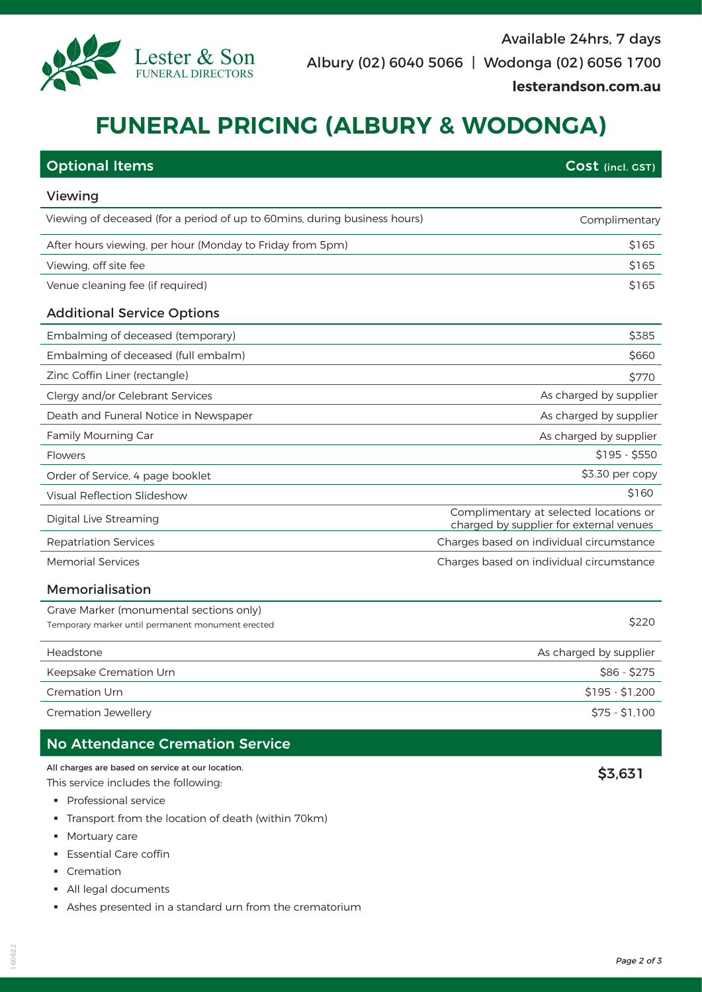

| <b>Optional Items</b>                                                     | Cost (incl. GST)                                                                  |  |
|---------------------------------------------------------------------------|-----------------------------------------------------------------------------------|--|
| Viewing                                                                   |                                                                                   |  |
| Viewing of deceased (for a period of up to 60mins, during business hours) | Complimentary                                                                     |  |
| After hours viewing, per hour (Monday to Friday from 5pm)                 | \$165                                                                             |  |
| Viewing, off site fee                                                     | \$165                                                                             |  |
| Venue cleaning fee (if required)                                          | \$165                                                                             |  |
| <b>Additional Service Options</b>                                         |                                                                                   |  |
| Embalming of deceased (temporary)                                         | \$385                                                                             |  |
| Embalming of deceased (full embalm)                                       | \$660                                                                             |  |
| Zinc Coffin Liner (rectangle)                                             | \$770                                                                             |  |
| Clergy and/or Celebrant Services                                          | As charged by supplier                                                            |  |
| Death and Funeral Notice in Newspaper                                     | As charged by supplier                                                            |  |
| Family Mourning Car                                                       | As charged by supplier                                                            |  |
| <b>Flowers</b>                                                            | $$195 - $550$                                                                     |  |
| Order of Service, 4 page booklet                                          | \$3.30 per copy                                                                   |  |
| Visual Reflection Slideshow                                               | \$160                                                                             |  |
| Digital Live Streaming                                                    | Complimentary at selected locations or<br>charged by supplier for external venues |  |
| <b>Repatriation Services</b>                                              | Charges based on individual circumstance                                          |  |
| <b>Memorial Services</b>                                                  | Charges based on individual circumstance                                          |  |
| Memorialisation                                                           |                                                                                   |  |
| Grave Marker (monumental sections only)                                   |                                                                                   |  |
| Temporary marker until permanent monument erected                         | \$220                                                                             |  |
| Headstone                                                                 | As charged by supplier                                                            |  |
| Keepsake Cremation Urn                                                    | $$86 - $275$                                                                      |  |
| <b>Cremation Urn</b>                                                      | $$195 - $1,200$                                                                   |  |

Cremation Jewellery **\$75 - \$1,100** 

## No Attendance Cremation Service

All charges are based on service at our location.

This service includes the following:

- § Professional service
- § Transport from the location of death (within 70km)

Lester & Son FUNERAL DIRECTORS

- **•** Mortuary care
- **Essential Care coffin**
- Cremation
- § All legal documents
- § Ashes presented in a standard urn from the crematorium

\$3,631